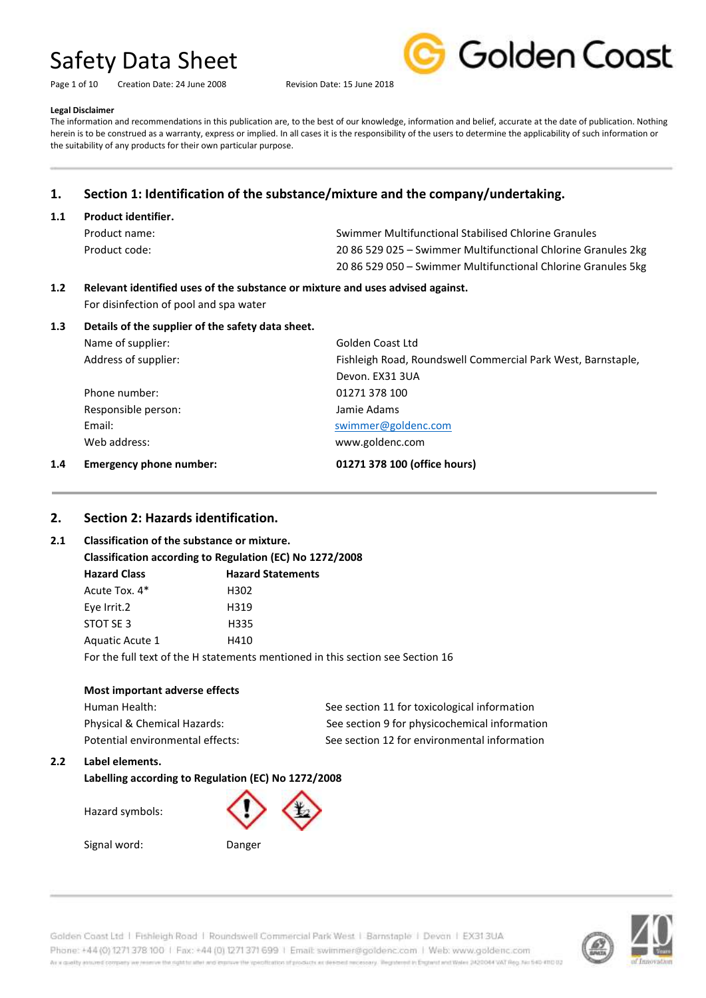Page 1 of 10 Creation Date: 24 June 2008 Revision Date: 15 June 2018



### **Legal Disclaimer**

The information and recommendations in this publication are, to the best of our knowledge, information and belief, accurate at the date of publication. Nothing herein is to be construed as a warranty, express or implied. In all cases it is the responsibility of the users to determine the applicability of such information or the suitability of any products for their own particular purpose.

### **1. Section 1: Identification of the substance/mixture and the company/undertaking.**

### **1.1 Product identifier.**

| Product name: | Swimmer Multifunctional Stabilised Chlorine Granules          |
|---------------|---------------------------------------------------------------|
| Product code: | 20 86 529 025 – Swimmer Multifunctional Chlorine Granules 2kg |
|               | 20 86 529 050 – Swimmer Multifunctional Chlorine Granules 5kg |

### **1.2 Relevant identified uses of the substance or mixture and uses advised against.** For disinfection of pool and spa water

### **1.3 Details of the supplier of the safety data sheet.**

| Name of supplier:    | Golden Coast Ltd                                             |
|----------------------|--------------------------------------------------------------|
| Address of supplier: | Fishleigh Road, Roundswell Commercial Park West, Barnstaple, |
|                      | Devon. EX31 3UA                                              |
| Phone number:        | 01271 378 100                                                |
| Responsible person:  | Jamie Adams                                                  |
| Email:               | swimmer@goldenc.com                                          |
| Web address:         | www.goldenc.com                                              |
|                      |                                                              |

### **1.4 Emergency phone number: 01271 378 100 (office hours)**

**2. Section 2: Hazards identification.**

### **2.1 Classification of the substance or mixture.**

| Classification according to Regulation (EC) No 1272/2008 |                                                                                |  |
|----------------------------------------------------------|--------------------------------------------------------------------------------|--|
| <b>Hazard Class</b>                                      | <b>Hazard Statements</b>                                                       |  |
| Acute Tox. 4*                                            | H302                                                                           |  |
| Eye Irrit.2                                              | H319                                                                           |  |
| STOT SE 3                                                | H335                                                                           |  |
| Aquatic Acute 1                                          | H410                                                                           |  |
|                                                          | For the full text of the H statements mentioned in this section see Section 16 |  |
|                                                          |                                                                                |  |

### **Most important adverse effects**

| Human Health:                    | See section 11 for toxicological information  |
|----------------------------------|-----------------------------------------------|
| Physical & Chemical Hazards:     | See section 9 for physicochemical information |
| Potential environmental effects: | See section 12 for environmental information  |

### **2.2 Label elements.**

**Labelling according to Regulation (EC) No 1272/2008**

Hazard symbols:

Signal word: Danger

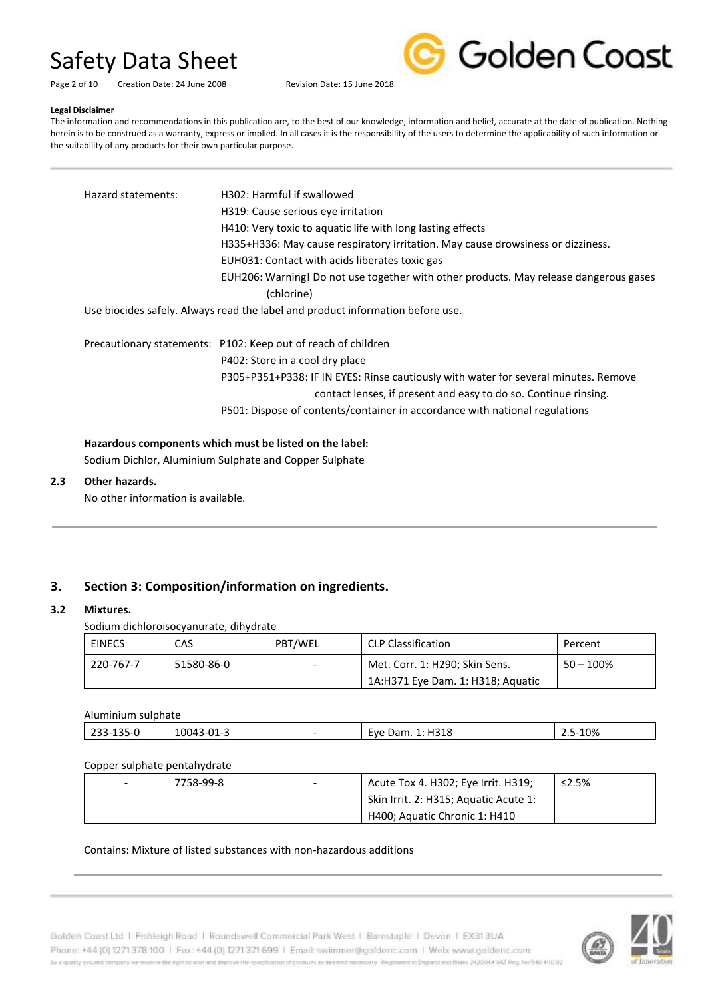

Page 2 of 10 Creation Date: 24 June 2008 Revision Date: 15 June 2018

#### **Legal Disclaimer**

The information and recommendations in this publication are, to the best of our knowledge, information and belief, accurate at the date of publication. Nothing herein is to be construed as a warranty, express or implied. In all cases it is the responsibility of the users to determine the applicability of such information or the suitability of any products for their own particular purpose.

| Hazard statements: | H302: Harmful if swallowed                                                            |
|--------------------|---------------------------------------------------------------------------------------|
|                    | H319: Cause serious eye irritation                                                    |
|                    | H410: Very toxic to aquatic life with long lasting effects                            |
|                    | H335+H336: May cause respiratory irritation. May cause drowsiness or dizziness.       |
|                    | EUH031: Contact with acids liberates toxic gas                                        |
|                    | EUH206: Warning! Do not use together with other products. May release dangerous gases |
|                    | (chlorine)                                                                            |
|                    | Use biocides safely. Always read the label and product information before use.        |
|                    | Precautionary statements: P102: Keep out of reach of children                         |
|                    | P402: Store in a cool dry place                                                       |
|                    | P305+P351+P338: IF IN EYES: Rinse cautiously with water for several minutes. Remove   |
|                    | contact lenses, if present and easy to do so. Continue rinsing.                       |
|                    | P501: Dispose of contents/container in accordance with national regulations           |

### **Hazardous components which must be listed on the label:**

Sodium Dichlor, Aluminium Sulphate and Copper Sulphate

### **2.3 Other hazards.**

No other information is available.

### **3. Section 3: Composition/information on ingredients.**

### **3.2 Mixtures.**

Sodium dichloroisocyanurate, dihydrate

| <b>EINECS</b> | CAS        | PBT/WEL                  | CLP Classification                | Percent      |
|---------------|------------|--------------------------|-----------------------------------|--------------|
| 220-767-7     | 51580-86-0 | $\overline{\phantom{0}}$ | Met. Corr. 1: H290; Skin Sens.    | $50 - 100\%$ |
|               |            |                          | 1A:H371 Eye Dam. 1: H318; Aguatic |              |

#### Aluminium sulphate

| . ו-ר<br>--<br>-<br>ر ب | 100 <sub>q</sub><br>$\sim$<br>.<br>-- | H318<br>Eve<br>Dam. '<br>- | 10% |
|-------------------------|---------------------------------------|----------------------------|-----|
|                         |                                       |                            |     |

### Copper sulphate pentahydrate

| 7758-99-8 | $\overline{\phantom{0}}$ | Acute Tox 4. H302; Eye Irrit. H319;   | $\leq$ 2.5% |
|-----------|--------------------------|---------------------------------------|-------------|
|           |                          | Skin Irrit. 2: H315; Aquatic Acute 1: |             |
|           |                          | H400; Aquatic Chronic 1: H410         |             |

### Contains: Mixture of listed substances with non-hazardous additions



Golden Coast Ltd | Fishleigh Road | Roundswell Commercial Park West | Barnstaple | Devon | EX313UA Phone: +44 (0) 1271 378 100 | Fax: +44 (0) 1271 371 699 | Email: swimmer@goldenc.com | Web: www.goldenc.com As a quality ensured company we reserve the right to after and enprice the specification of products as deepent recessary. Registered in England and Wales (AQDO44 VAT Reg. Just 540-410 D2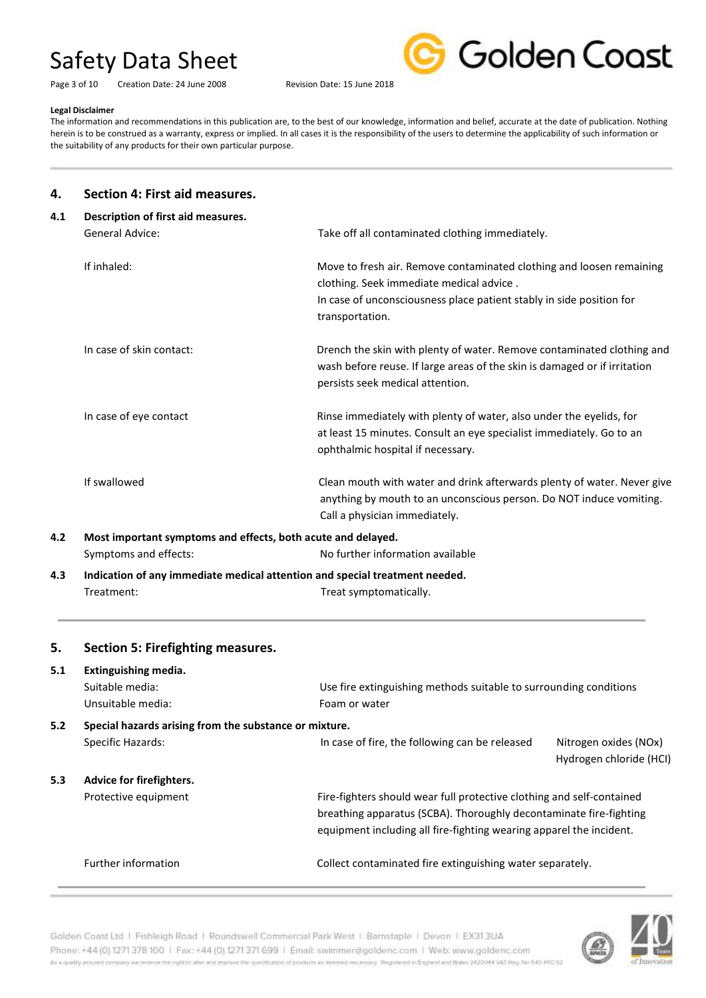Page 3 of 10 Creation Date: 24 June 2008 Revision Date: 15 June 2018



#### **Legal Disclaimer**

The information and recommendations in this publication are, to the best of our knowledge, information and belief, accurate at the date of publication. Nothing herein is to be construed as a warranty, express or implied. In all cases it is the responsibility of the users to determine the applicability of such information or the suitability of any products for their own particular purpose.

### **4. Section 4: First aid measures.**

| 4.1 | Description of first aid measures.                                          |                                                                                                                                                                                         |  |  |
|-----|-----------------------------------------------------------------------------|-----------------------------------------------------------------------------------------------------------------------------------------------------------------------------------------|--|--|
|     | <b>General Advice:</b>                                                      | Take off all contaminated clothing immediately.                                                                                                                                         |  |  |
|     | If inhaled:                                                                 | Move to fresh air. Remove contaminated clothing and loosen remaining<br>clothing. Seek immediate medical advice.                                                                        |  |  |
|     |                                                                             | In case of unconsciousness place patient stably in side position for<br>transportation.                                                                                                 |  |  |
|     | In case of skin contact:                                                    | Drench the skin with plenty of water. Remove contaminated clothing and<br>wash before reuse. If large areas of the skin is damaged or if irritation<br>persists seek medical attention. |  |  |
|     | In case of eye contact                                                      | Rinse immediately with plenty of water, also under the eyelids, for<br>at least 15 minutes. Consult an eye specialist immediately. Go to an<br>ophthalmic hospital if necessary.        |  |  |
|     | If swallowed                                                                | Clean mouth with water and drink afterwards plenty of water. Never give<br>anything by mouth to an unconscious person. Do NOT induce vomiting.<br>Call a physician immediately.         |  |  |
| 4.2 | Most important symptoms and effects, both acute and delayed.                |                                                                                                                                                                                         |  |  |
|     | Symptoms and effects:                                                       | No further information available                                                                                                                                                        |  |  |
| 4.3 | Indication of any immediate medical attention and special treatment needed. |                                                                                                                                                                                         |  |  |
|     | Treatment:                                                                  | Treat symptomatically.                                                                                                                                                                  |  |  |

| 5.  | Section 5: Firefighting measures.                            |                                                                                                                                                                                                                    |                                                  |
|-----|--------------------------------------------------------------|--------------------------------------------------------------------------------------------------------------------------------------------------------------------------------------------------------------------|--------------------------------------------------|
| 5.1 | Extinguishing media.<br>Suitable media:<br>Unsuitable media: | Use fire extinguishing methods suitable to surrounding conditions<br>Foam or water                                                                                                                                 |                                                  |
| 5.2 | Special hazards arising from the substance or mixture.       |                                                                                                                                                                                                                    |                                                  |
|     | Specific Hazards:                                            | In case of fire, the following can be released                                                                                                                                                                     | Nitrogen oxides (NOx)<br>Hydrogen chloride (HCI) |
| 5.3 | Advice for firefighters.                                     |                                                                                                                                                                                                                    |                                                  |
|     | Protective equipment                                         | Fire-fighters should wear full protective clothing and self-contained<br>breathing apparatus (SCBA). Thoroughly decontaminate fire-fighting<br>equipment including all fire-fighting wearing apparel the incident. |                                                  |
|     | <b>Further information</b>                                   | Collect contaminated fire extinguishing water separately.                                                                                                                                                          |                                                  |



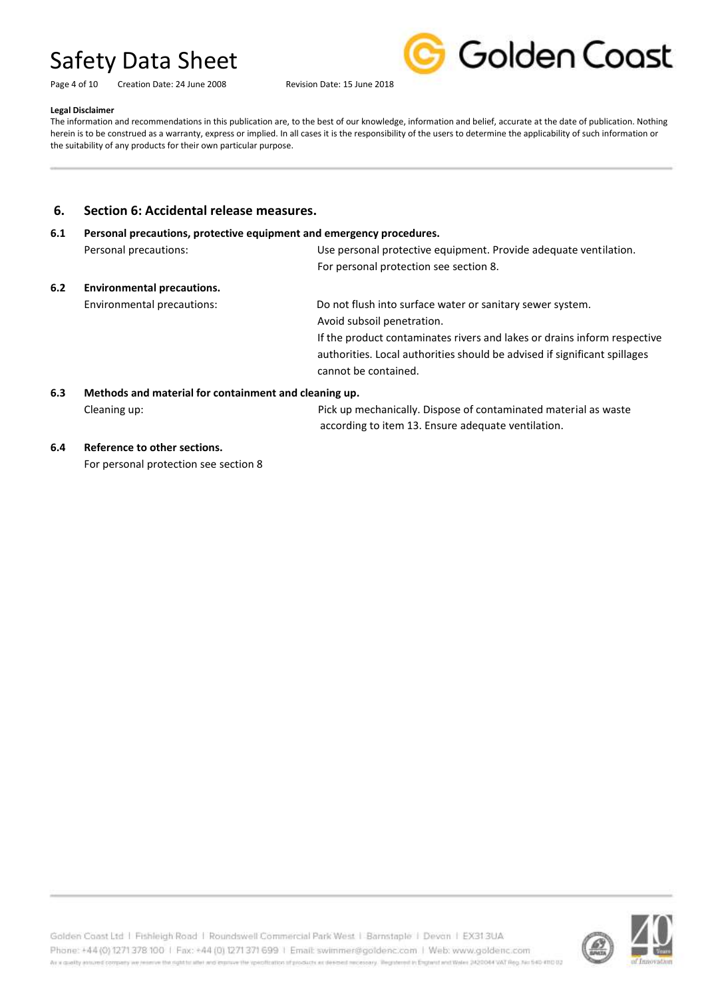Page 4 of 10 Creation Date: 24 June 2008 Revision Date: 15 June 2018



#### **Legal Disclaimer**

The information and recommendations in this publication are, to the best of our knowledge, information and belief, accurate at the date of publication. Nothing herein is to be construed as a warranty, express or implied. In all cases it is the responsibility of the users to determine the applicability of such information or the suitability of any products for their own particular purpose.

### **6. Section 6: Accidental release measures.**

## **6.1 Personal precautions, protective equipment and emergency procedures.** Personal precautions: Use personal protective equipment. Provide adequate ventilation. For personal protection see section 8.

**6.2 Environmental precautions.**

### Environmental precautions: Do not flush into surface water or sanitary sewer system. Avoid subsoil penetration.

If the product contaminates rivers and lakes or drains inform respective authorities. Local authorities should be advised if significant spillages cannot be contained.

### **6.3 Methods and material for containment and cleaning up.**

Cleaning up: Pick up mechanically. Dispose of contaminated material as waste according to item 13. Ensure adequate ventilation.

### **6.4 Reference to other sections.**

For personal protection see section 8

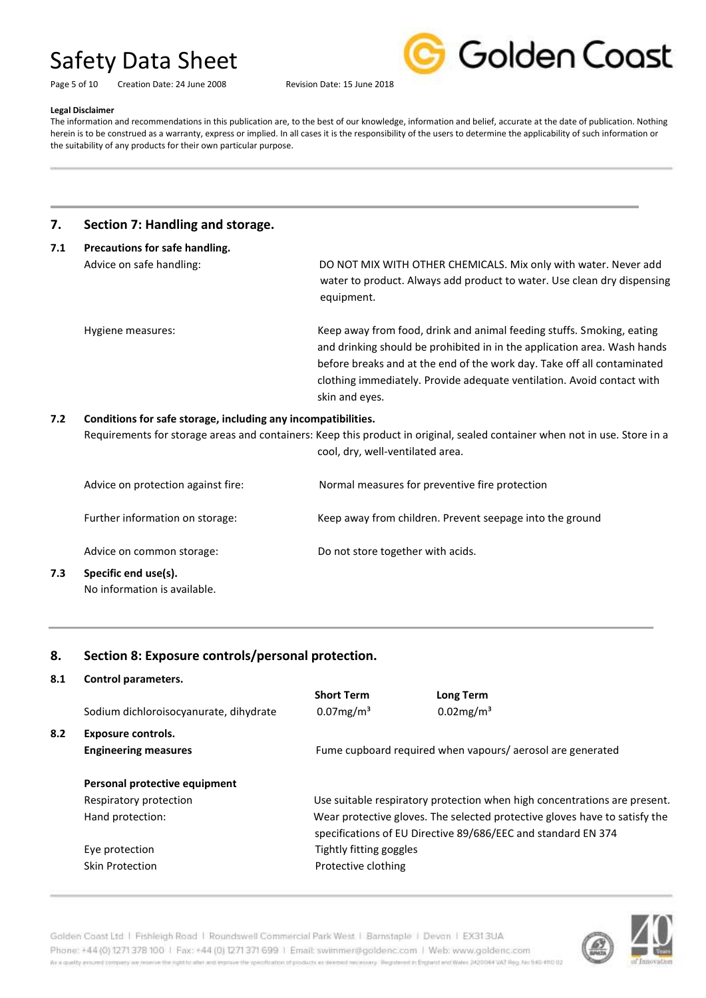|  | Golden Coast |  |
|--|--------------|--|
|  |              |  |

Page 5 of 10 Creation Date: 24 June 2008 Revision Date: 15 June 2018

#### **Legal Disclaimer**

The information and recommendations in this publication are, to the best of our knowledge, information and belief, accurate at the date of publication. Nothing herein is to be construed as a warranty, express or implied. In all cases it is the responsibility of the users to determine the applicability of such information or the suitability of any products for their own particular purpose.

### **7. Section 7: Handling and storage.**

| 7.1 | Precautions for safe handling.                                |                                                                                                                                                                                                                                                                                                                          |  |  |
|-----|---------------------------------------------------------------|--------------------------------------------------------------------------------------------------------------------------------------------------------------------------------------------------------------------------------------------------------------------------------------------------------------------------|--|--|
|     | Advice on safe handling:                                      | DO NOT MIX WITH OTHER CHEMICALS. Mix only with water. Never add<br>water to product. Always add product to water. Use clean dry dispensing<br>equipment.                                                                                                                                                                 |  |  |
|     | Hygiene measures:                                             | Keep away from food, drink and animal feeding stuffs. Smoking, eating<br>and drinking should be prohibited in in the application area. Wash hands<br>before breaks and at the end of the work day. Take off all contaminated<br>clothing immediately. Provide adequate ventilation. Avoid contact with<br>skin and eyes. |  |  |
| 7.2 | Conditions for safe storage, including any incompatibilities. | Bequirements for starsge areas and sontainers: Keen this product in original, sealed sontainer when not in use Store in a                                                                                                                                                                                                |  |  |

Requirements for storage areas and containers: Keep this product in original, sealed container when not in use. Store in a cool, dry, well-ventilated area.

|     | Advice on protection against fire:                   | Normal measures for preventive fire protection           |
|-----|------------------------------------------------------|----------------------------------------------------------|
|     | Further information on storage:                      | Keep away from children. Prevent seepage into the ground |
|     | Advice on common storage:                            | Do not store together with acids.                        |
| 7.3 | Specific end use(s).<br>No information is available. |                                                          |

### **8. Section 8: Exposure controls/personal protection.**

### **8.1 Control parameters.**

|     | Sodium dichloroisocyanurate, dihydrate            | <b>Short Term</b><br>$0.07$ mg/m <sup>3</sup> | Long Term<br>$0.02$ mg/m <sup>3</sup>                                                                                                       |
|-----|---------------------------------------------------|-----------------------------------------------|---------------------------------------------------------------------------------------------------------------------------------------------|
| 8.2 | Exposure controls.<br><b>Engineering measures</b> |                                               | Fume cupboard required when vapours/aerosol are generated                                                                                   |
|     | Personal protective equipment                     |                                               |                                                                                                                                             |
|     | Respiratory protection                            |                                               | Use suitable respiratory protection when high concentrations are present.                                                                   |
|     | Hand protection:                                  |                                               | Wear protective gloves. The selected protective gloves have to satisfy the<br>specifications of EU Directive 89/686/EEC and standard EN 374 |
|     | Eye protection                                    | Tightly fitting goggles                       |                                                                                                                                             |
|     | <b>Skin Protection</b>                            | Protective clothing                           |                                                                                                                                             |

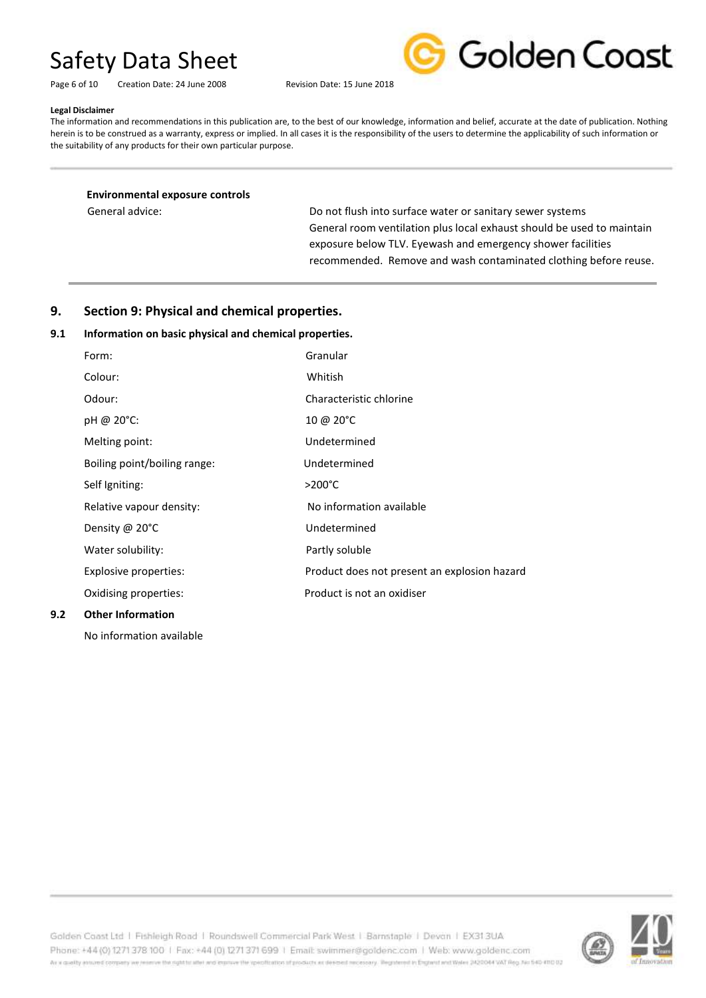| Page 6 of 10 | Creation Date: 24 June 2008 | Revision Date: 15 June 2018 |
|--------------|-----------------------------|-----------------------------|
|              |                             |                             |



#### **Legal Disclaimer**

The information and recommendations in this publication are, to the best of our knowledge, information and belief, accurate at the date of publication. Nothing herein is to be construed as a warranty, express or implied. In all cases it is the responsibility of the users to determine the applicability of such information or the suitability of any products for their own particular purpose.

**Environmental exposure controls** 

General advice: The South into surface water or sanitary sewer systems of the South of the Do not flush into surface water or sanitary sewer systems General room ventilation plus local exhaust should be used to maintain exposure below TLV. Eyewash and emergency shower facilities recommended. Remove and wash contaminated clothing before reuse.

### **9. Section 9: Physical and chemical properties.**

### **9.1 Information on basic physical and chemical properties.**

| 9.2 | <b>Other Information</b>     |                                              |
|-----|------------------------------|----------------------------------------------|
|     | Oxidising properties:        | Product is not an oxidiser                   |
|     | Explosive properties:        | Product does not present an explosion hazard |
|     | Water solubility:            | Partly soluble                               |
|     | Density @ 20°C               | Undetermined                                 |
|     | Relative vapour density:     | No information available                     |
|     | Self Igniting:               | $>200^{\circ}$ C                             |
|     | Boiling point/boiling range: | Undetermined                                 |
|     | Melting point:               | Undetermined                                 |
|     | pH @ 20°C:                   | 10 @ $20^{\circ}$ C                          |
|     | Odour:                       | Characteristic chlorine                      |
|     | Colour:                      | Whitish                                      |
|     | Form:                        | Granular                                     |

No information available



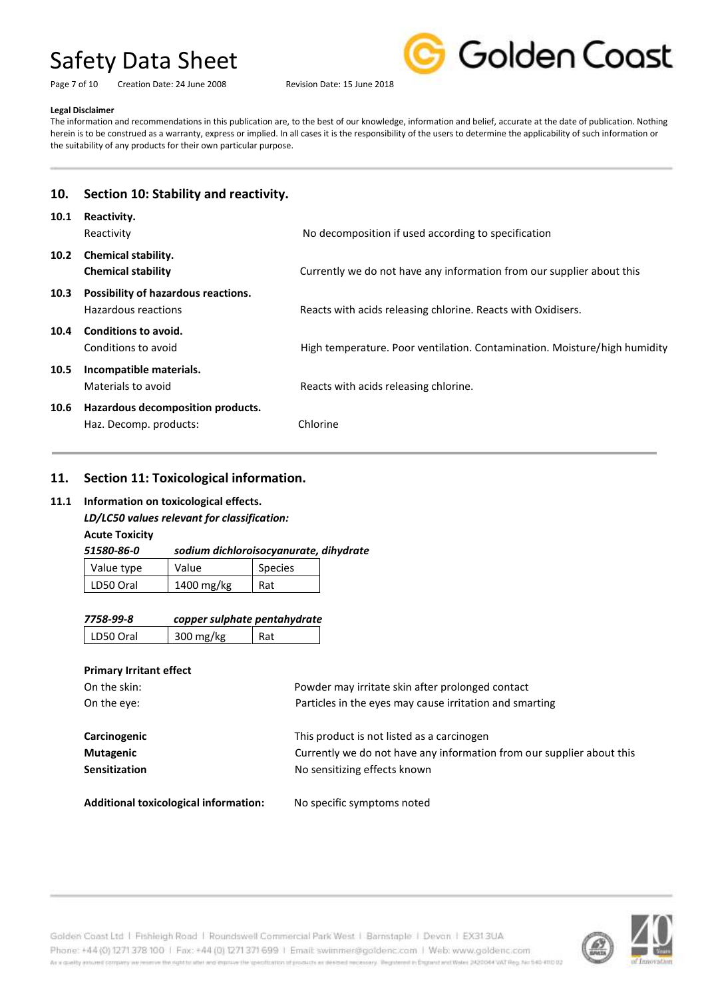Page 7 of 10 Creation Date: 24 June 2008 Revision Date: 15 June 2018



#### **Legal Disclaimer**

The information and recommendations in this publication are, to the best of our knowledge, information and belief, accurate at the date of publication. Nothing herein is to be construed as a warranty, express or implied. In all cases it is the responsibility of the users to determine the applicability of such information or the suitability of any products for their own particular purpose.

# **10. Section 10: Stability and reactivity.**

| 10.1 | Reactivity.<br>Reactivity                                   | No decomposition if used according to specification                       |
|------|-------------------------------------------------------------|---------------------------------------------------------------------------|
| 10.2 | <b>Chemical stability.</b><br><b>Chemical stability</b>     | Currently we do not have any information from our supplier about this     |
| 10.3 | Possibility of hazardous reactions.<br>Hazardous reactions  | Reacts with acids releasing chlorine. Reacts with Oxidisers.              |
| 10.4 | Conditions to avoid.<br>Conditions to avoid                 | High temperature. Poor ventilation. Contamination. Moisture/high humidity |
| 10.5 | Incompatible materials.<br>Materials to avoid               | Reacts with acids releasing chlorine.                                     |
| 10.6 | Hazardous decomposition products.<br>Haz. Decomp. products: | Chlorine                                                                  |

### **11. Section 11: Toxicological information.**

### **11.1 Information on toxicological effects.**

### *LD/LC50 values relevant for classification:*

**Acute Toxicity**

| 51580-86-0 | sodium dichloroisocyanurate, dihydrate |                |  |
|------------|----------------------------------------|----------------|--|
| Value type | Value                                  | <b>Species</b> |  |
| LD50 Oral  | 1400 mg/kg                             | Rat            |  |

| 7758-99-8 | copper sulphate pentahydrate |  |
|-----------|------------------------------|--|
|           |                              |  |

LD50 Oral  $\vert$  300 mg/kg  $\vert$  Rat

### **Primary Irritant effect**

| On the skin:         | Powder may irritate skin after prolonged contact                      |
|----------------------|-----------------------------------------------------------------------|
| On the eye:          | Particles in the eyes may cause irritation and smarting               |
|                      |                                                                       |
| Carcinogenic         | This product is not listed as a carcinogen                            |
| Mutagenic            | Currently we do not have any information from our supplier about this |
| <b>Sensitization</b> | No sensitizing effects known                                          |
|                      |                                                                       |

**Additional toxicological information:** No specific symptoms noted

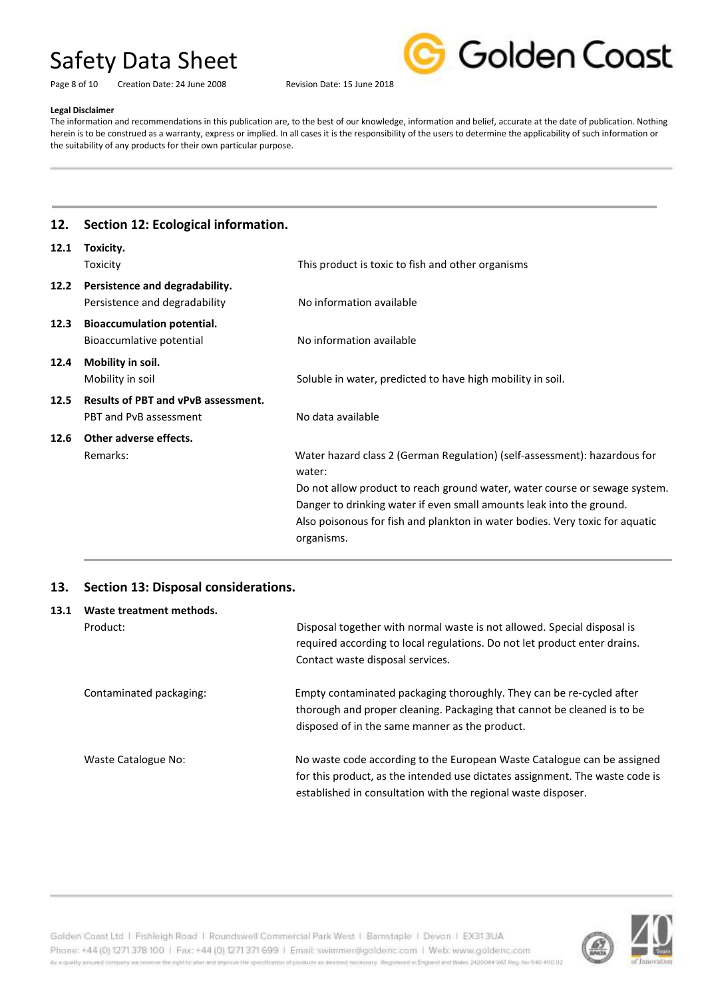Golden Coast

Page 8 of 10 Creation Date: 24 June 2008 Revision Date: 15 June 2018

### **Legal Disclaimer**

The information and recommendations in this publication are, to the best of our knowledge, information and belief, accurate at the date of publication. Nothing herein is to be construed as a warranty, express or implied. In all cases it is the responsibility of the users to determine the applicability of such information or the suitability of any products for their own particular purpose.

### **12. Section 12: Ecological information.**

| 12.1 | Toxicity.                                                            |                                                                                                                                                                                                                                                                                                                                         |
|------|----------------------------------------------------------------------|-----------------------------------------------------------------------------------------------------------------------------------------------------------------------------------------------------------------------------------------------------------------------------------------------------------------------------------------|
|      | Toxicity                                                             | This product is toxic to fish and other organisms                                                                                                                                                                                                                                                                                       |
| 12.2 | Persistence and degradability.<br>Persistence and degradability      | No information available                                                                                                                                                                                                                                                                                                                |
| 12.3 | <b>Bioaccumulation potential.</b><br>Bioaccumlative potential        | No information available                                                                                                                                                                                                                                                                                                                |
| 12.4 | Mobility in soil.<br>Mobility in soil                                | Soluble in water, predicted to have high mobility in soil.                                                                                                                                                                                                                                                                              |
| 12.5 | <b>Results of PBT and vPvB assessment.</b><br>PBT and PvB assessment | No data available                                                                                                                                                                                                                                                                                                                       |
| 12.6 | Other adverse effects.<br>Remarks:                                   | Water hazard class 2 (German Regulation) (self-assessment): hazardous for<br>water:<br>Do not allow product to reach ground water, water course or sewage system.<br>Danger to drinking water if even small amounts leak into the ground.<br>Also poisonous for fish and plankton in water bodies. Very toxic for aquatic<br>organisms. |

### **13. Section 13: Disposal considerations.**

| 13.1 | Waste treatment methods. |                                                                                                                                                                                                                          |  |  |
|------|--------------------------|--------------------------------------------------------------------------------------------------------------------------------------------------------------------------------------------------------------------------|--|--|
|      | Product:                 | Disposal together with normal waste is not allowed. Special disposal is<br>required according to local regulations. Do not let product enter drains.<br>Contact waste disposal services.                                 |  |  |
|      | Contaminated packaging:  | Empty contaminated packaging thoroughly. They can be re-cycled after<br>thorough and proper cleaning. Packaging that cannot be cleaned is to be<br>disposed of in the same manner as the product.                        |  |  |
|      | Waste Catalogue No:      | No waste code according to the European Waste Catalogue can be assigned<br>for this product, as the intended use dictates assignment. The waste code is<br>established in consultation with the regional waste disposer. |  |  |

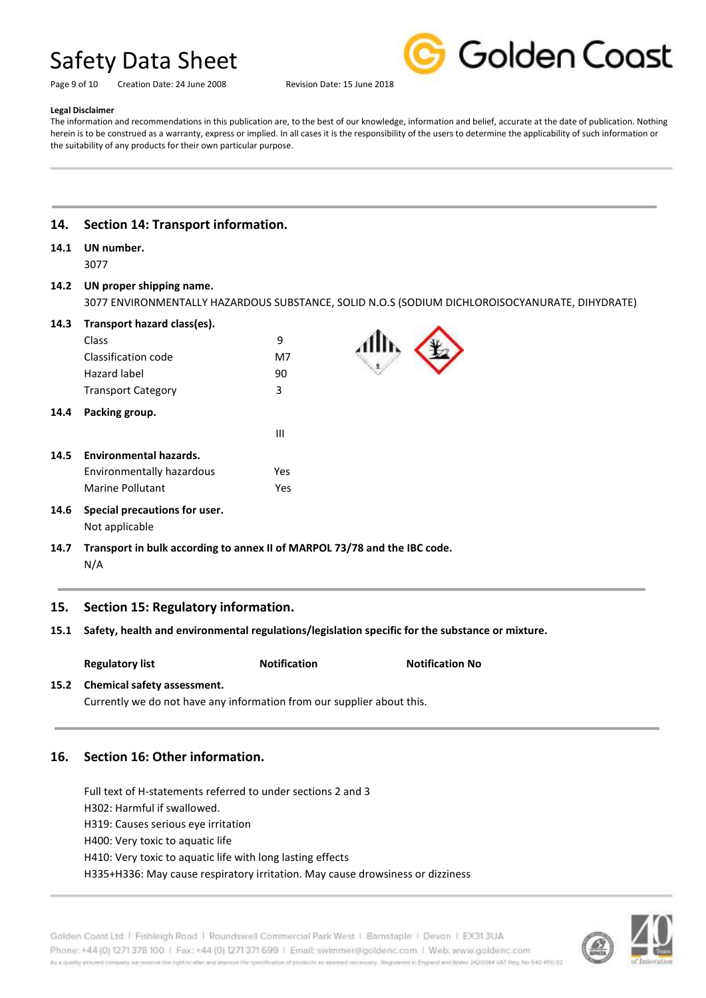Page 9 of 10 Creation Date: 24 June 2008 Revision Date: 15 June 2018



#### **Legal Disclaimer**

The information and recommendations in this publication are, to the best of our knowledge, information and belief, accurate at the date of publication. Nothing herein is to be construed as a warranty, express or implied. In all cases it is the responsibility of the users to determine the applicability of such information or the suitability of any products for their own particular purpose.

### **14. Section 14: Transport information.**

## **14.1 UN number.**

3077

### **14.2 UN proper shipping name.**

3077 ENVIRONMENTALLY HAZARDOUS SUBSTANCE, SOLID N.O.S (SODIUM DICHLOROISOCYANURATE, DIHYDRATE)

| 14.3 | Transport hazard class(es). |  |  |
|------|-----------------------------|--|--|
|      |                             |  |  |

| 14.4 | Packing group.            |    |
|------|---------------------------|----|
|      | <b>Transport Category</b> | ર  |
|      | Hazard label              | 90 |
|      | Classification code       | M7 |
|      | Class                     |    |

| 14.5 Environmental hazards. |      |
|-----------------------------|------|
| Environmentally hazardous   | Yes. |
| Marine Pollutant            | Yes  |

*III* **III** *III**III**III**III**III**III**III**III**III**III**III**III**III**III**III**III**III**III**III**III**IIII**IIII**IIII**IIII**IIII**IIII**IIII**IIII**IIIII**IIIII**IIIII**IIIII* 

### **14.6 Special precautions for user.** Not applicable

**14.7 Transport in bulk according to annex II of MARPOL 73/78 and the IBC code.** N/A

### **15. Section 15: Regulatory information.**

- **15.1 Safety, health and environmental regulations/legislation specific for the substance or mixture.**
	- Regulatory list **Notification** Notification **Notification** No

# **15.2 Chemical safety assessment.**

Currently we do not have any information from our supplier about this.

### **16. Section 16: Other information.**

Full text of H-statements referred to under sections 2 and 3 H302: Harmful if swallowed. H319: Causes serious eye irritation H400: Very toxic to aquatic life H410: Very toxic to aquatic life with long lasting effects H335+H336: May cause respiratory irritation. May cause drowsiness or dizziness



Golden Coast Ltd | Fishleigh Road | Roundswell Commercial Park West | Barnstaple | Devon | EX313UA Phone: +44 (0) 1271 378 100 | Fax: +44 (0) 1271 371 699 | Email: swimmer@goldenc.com | Web: www.goldenc.com As a quality annumel company we renewe the right to aller wid improve the specification of products as deemed recessory. Registered in England and Wales 2420044 VAT Reg. No 540-410 02